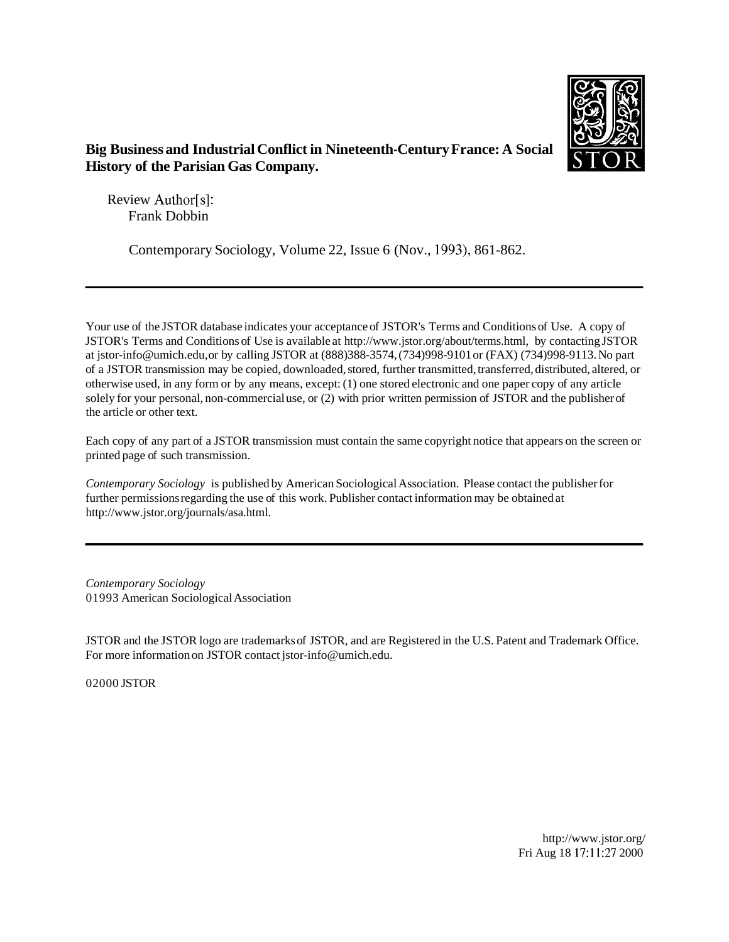

## **Big Business and Industrial Conflict in Nineteenth-Century France: A Social History of the Parisian Gas Company.**

Review Author[s]: Frank Dobbin

Contemporary Sociology, Volume 22, Issue 6 (Nov., 1993), 861-862.

Your use of the JSTOR database indicates your acceptance of JSTOR's Terms and Conditions of Use. A copy of JSTOR's Terms and Conditions of Use is available at http://www.jstor.org/about/terms.html, by contacting JSTOR at jstor-info@umich.edu, or by calling JSTOR at (888)388-3574, (734)998-9101 or (FAX) (734)998-9113. No part of a JSTOR transmission may be copied, downloaded, stored, further transmitted, transferred, distributed, altered, or otherwise used, in any form or by any means, except: (1) one stored electronic and one paper copy of any article solely for your personal, non-commercial use, or (2) with prior written permission of JSTOR and the publisher of the article or other text.

Each copy of any part of a JSTOR transmission must contain the same copyright notice that appears on the screen or printed page of such transmission.

*Contemporary Sociology* is published by American Sociological Association. Please contact the publisher for further permissions regarding the use of this work. Publisher contact information may be obtained at http://www.jstor.org/journals/asa.html.

*Contemporary Sociology*  01993 American Sociological Association

JSTOR and the JSTOR logo are trademarks of JSTOR, and are Registered in the U.S. Patent and Trademark Office. For more information on JSTOR contact jstor-info@umich.edu.

02000 JSTOR

http://www.jstor.org/ Fri Aug 18 17:11:27 2000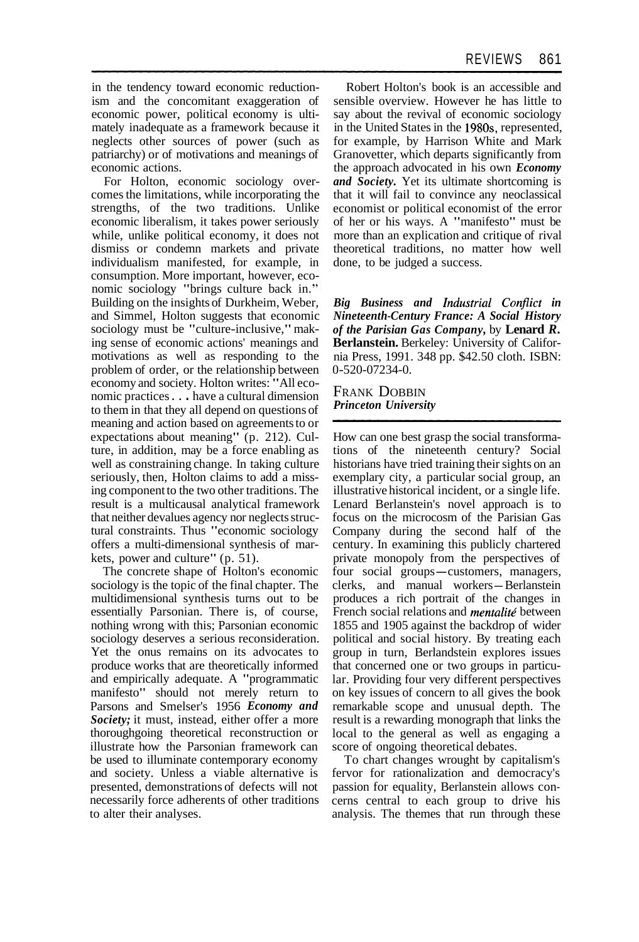in the tendency toward economic reductionism and the concomitant exaggeration of economic power, political economy is ultimately inadequate as a framework because it neglects other sources of power (such as patriarchy) or of motivations and meanings of economic actions.

For Holton, economic sociology overcomes the limitations, while incorporating the strengths, of the two traditions. Unlike economic liberalism, it takes power seriously while, unlike political economy, it does not dismiss or condemn markets and private individualism manifested, for example, in consumption. More important, however, economic sociology "brings culture back in." Building on the insights of Durkheim, Weber, and Simmel, Holton suggests that economic sociology must be "culture-inclusive," making sense of economic actions' meanings and motivations as well as responding to the problem of order, or the relationship between economy and society. Holton writes: "All economic practices . . . have a cultural dimension to them in that they all depend on questions of meaning and action based on agreements to or expectations about meaning" (p. 212). Culture, in addition, may be a force enabling as well as constraining change. In taking culture seriously, then, Holton claims to add a missing component to the two other traditions. The result is a multicausal analytical framework that neither devalues agency nor neglects structural constraints. Thus "economic sociology offers a multi-dimensional synthesis of markets, power and culture" (p. 51).

The concrete shape of Holton's economic sociology is the topic of the final chapter. The multidimensional synthesis turns out to be essentially Parsonian. There is, of course, nothing wrong with this; Parsonian economic sociology deserves a serious reconsideration. Yet the onus remains on its advocates to produce works that are theoretically informed and empirically adequate. A "programmatic manifesto" should not merely return to Parsons and Smelser's 1956 *Economy and Society;* it must, instead, either offer a more thoroughgoing theoretical reconstruction or illustrate how the Parsonian framework can be used to illuminate contemporary economy and society. Unless a viable alternative is presented, demonstrations of defects will not necessarily force adherents of other traditions to alter their analyses.

Robert Holton's book is an accessible and sensible overview. However he has little to say about the revival of economic sociology in the United States in the 1980s, represented, for example, by Harrison White and Mark Granovetter, which departs significantly from the approach advocated in his own *Economy and Society.* Yet its ultimate shortcoming is that it will fail to convince any neoclassical economist or political economist of the error of her or his ways. A "manifesto" must be more than an explication and critique of rival theoretical traditions, no matter how well done, to be judged a success.

*Big Business and industrial Conflict in Nineteenth-Century France: A Social History of the Parisian Gas Company,* by **Lenard** *R.*  **Berlanstein.** Berkeley: University of California Press, 1991. 348 pp. \$42.50 cloth. ISBN: 0-520-07234-0.

FRANK DOBBIN *Princeton University* 

How can one best grasp the social transformations of the nineteenth century? Social historians have tried training their sights on an exemplary city, a particular social group, an illustrative historical incident, or a single life. Lenard Berlanstein's novel approach is to focus on the microcosm of the Parisian Gas Company during the second half of the century. In examining this publicly chartered private monopoly from the perspectives of four social groups—customers, managers,<br>four social groups—customers, managers, four social groups—customers, managers,<br>clerks, and manual workers—Berlanstein produces a rich portrait of the changes in French social relations and *mentalite'* between 1855 and 1905 against the backdrop of wider political and social history. By treating each group in turn, Berlandstein explores issues that concerned one or two groups in particular. Providing four very different perspectives on key issues of concern to all gives the book remarkable scope and unusual depth. The result is a rewarding monograph that links the local to the general as well as engaging a score of ongoing theoretical debates.

To chart changes wrought by capitalism's fervor for rationalization and democracy's passion for equality, Berlanstein allows concerns central to each group to drive his analysis. The themes that run through these